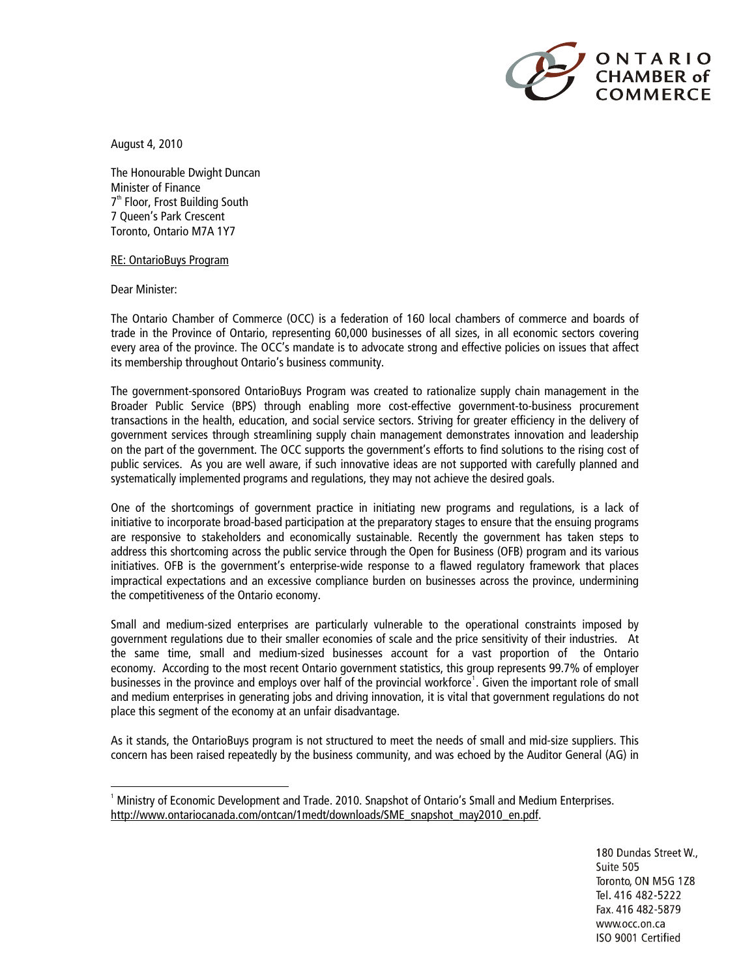

August 4, 2010

The Honourable Dwight Duncan Minister of Finance 7<sup>th</sup> Floor, Frost Building South 7 Queen's Park Crescent Toronto, Ontario M7A 1Y7

## RE: OntarioBuys Program

Dear Minister:

-

The Ontario Chamber of Commerce (OCC) is a federation of 160 local chambers of commerce and boards of trade in the Province of Ontario, representing 60,000 businesses of all sizes, in all economic sectors covering every area of the province. The OCC's mandate is to advocate strong and effective policies on issues that affect its membership throughout Ontario's business community.

The government-sponsored OntarioBuys Program was created to rationalize supply chain management in the Broader Public Service (BPS) through enabling more cost-effective government-to-business procurement transactions in the health, education, and social service sectors. Striving for greater efficiency in the delivery of government services through streamlining supply chain management demonstrates innovation and leadership on the part of the government. The OCC supports the government's efforts to find solutions to the rising cost of public services. As you are well aware, if such innovative ideas are not supported with carefully planned and systematically implemented programs and regulations, they may not achieve the desired goals.

One of the shortcomings of government practice in initiating new programs and regulations, is a lack of initiative to incorporate broad-based participation at the preparatory stages to ensure that the ensuing programs are responsive to stakeholders and economically sustainable. Recently the government has taken steps to address this shortcoming across the public service through the Open for Business (OFB) program and its various initiatives. OFB is the government's enterprise-wide response to a flawed regulatory framework that places impractical expectations and an excessive compliance burden on businesses across the province, undermining the competitiveness of the Ontario economy.

Small and medium-sized enterprises are particularly vulnerable to the operational constraints imposed by government regulations due to their smaller economies of scale and the price sensitivity of their industries. At the same time, small and medium-sized businesses account for a vast proportion of the Ontario economy. According to the most recent Ontario government statistics, this group represents 99.7% of employer businesses in the province and employs over half of the provincial workforce<sup>[1](#page-0-0)</sup>. Given the important role of small and medium enterprises in generating jobs and driving innovation, it is vital that government regulations do not place this segment of the economy at an unfair disadvantage.

As it stands, the OntarioBuys program is not structured to meet the needs of small and mid-size suppliers. This concern has been raised repeatedly by the business community, and was echoed by the Auditor General (AG) in

<span id="page-0-0"></span><sup>&</sup>lt;sup>1</sup> Ministry of Economic Development and Trade. 2010. Snapshot of Ontario's Small and Medium Enterprises. [http://www.ontariocanada.com/ontcan/1medt/downloads/SME\\_snapshot\\_may2010\\_en.pdf](http://www.ontariocanada.com/ontcan/1medt/downloads/SME_snapshot_may2010_en.pdf).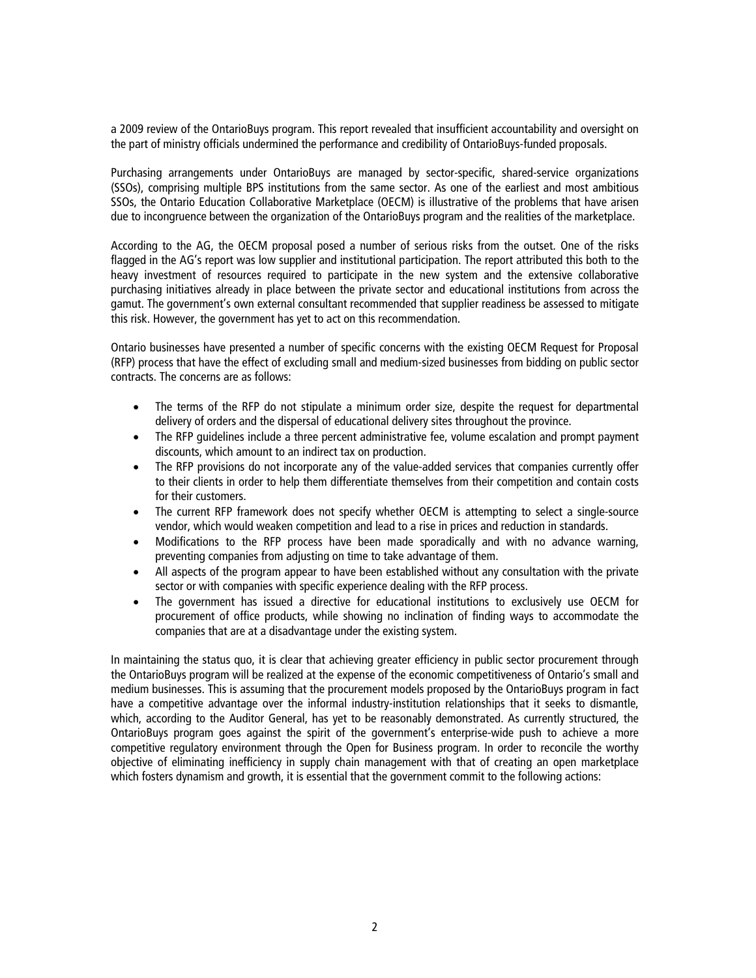a 2009 review of the OntarioBuys program. This report revealed that insufficient accountability and oversight on the part of ministry officials undermined the performance and credibility of OntarioBuys-funded proposals.

Purchasing arrangements under OntarioBuys are managed by sector-specific, shared-service organizations (SSOs), comprising multiple BPS institutions from the same sector. As one of the earliest and most ambitious SSOs, the Ontario Education Collaborative Marketplace (OECM) is illustrative of the problems that have arisen due to incongruence between the organization of the OntarioBuys program and the realities of the marketplace.

According to the AG, the OECM proposal posed a number of serious risks from the outset. One of the risks flagged in the AG's report was low supplier and institutional participation. The report attributed this both to the heavy investment of resources required to participate in the new system and the extensive collaborative purchasing initiatives already in place between the private sector and educational institutions from across the gamut. The government's own external consultant recommended that supplier readiness be assessed to mitigate this risk. However, the government has yet to act on this recommendation.

Ontario businesses have presented a number of specific concerns with the existing OECM Request for Proposal (RFP) process that have the effect of excluding small and medium-sized businesses from bidding on public sector contracts. The concerns are as follows:

- The terms of the RFP do not stipulate a minimum order size, despite the request for departmental delivery of orders and the dispersal of educational delivery sites throughout the province.
- The RFP quidelines include a three percent administrative fee, volume escalation and prompt payment discounts, which amount to an indirect tax on production.
- The RFP provisions do not incorporate any of the value-added services that companies currently offer to their clients in order to help them differentiate themselves from their competition and contain costs for their customers.
- The current RFP framework does not specify whether OECM is attempting to select a single-source vendor, which would weaken competition and lead to a rise in prices and reduction in standards.
- Modifications to the RFP process have been made sporadically and with no advance warning, preventing companies from adjusting on time to take advantage of them.
- All aspects of the program appear to have been established without any consultation with the private sector or with companies with specific experience dealing with the RFP process.
- The government has issued a directive for educational institutions to exclusively use OECM for procurement of office products, while showing no inclination of finding ways to accommodate the companies that are at a disadvantage under the existing system.

In maintaining the status quo, it is clear that achieving greater efficiency in public sector procurement through the OntarioBuys program will be realized at the expense of the economic competitiveness of Ontario's small and medium businesses. This is assuming that the procurement models proposed by the OntarioBuys program in fact have a competitive advantage over the informal industry-institution relationships that it seeks to dismantle, which, according to the Auditor General, has yet to be reasonably demonstrated. As currently structured, the OntarioBuys program goes against the spirit of the government's enterprise-wide push to achieve a more competitive regulatory environment through the Open for Business program. In order to reconcile the worthy objective of eliminating inefficiency in supply chain management with that of creating an open marketplace which fosters dynamism and growth, it is essential that the government commit to the following actions: